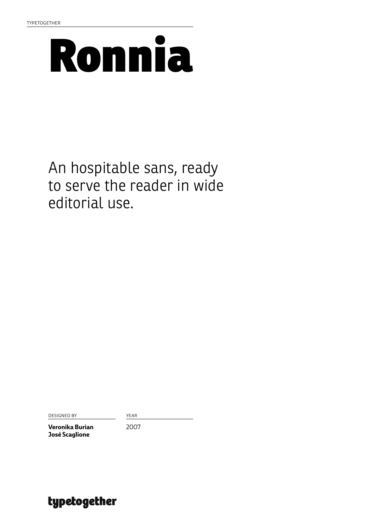

# An hospitable sans, ready to serve the reader in wide editorial use.

DESIGNED BY YEAR

**Veronika Burian José Scaglione**

2007

typetogether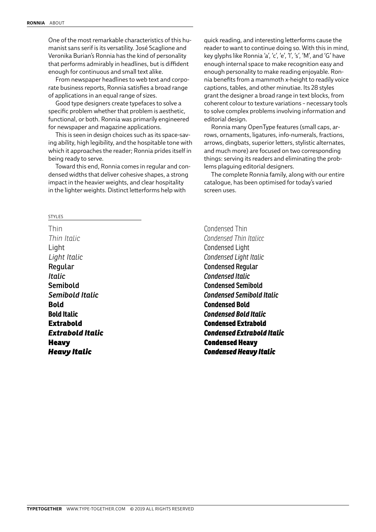One of the most remarkable characteristics of this humanist sans serif is its versatility. José Scaglione and Veronika Burian's Ronnia has the kind of personality that performs admirably in headlines, but is diffident enough for continuous and small text alike.

From newspaper headlines to web text and corporate business reports, Ronnia satisfies a broad range of applications in an equal range of sizes.

Good type designers create typefaces to solve a specific problem whether that problem is aesthetic, functional, or both. Ronnia was primarily engineered for newspaper and magazine applications.

This is seen in design choices such as its space-saving ability, high legibility, and the hospitable tone with which it approaches the reader; Ronnia prides itself in being ready to serve.

Toward this end, Ronnia comes in regular and condensed widths that deliver cohesive shapes, a strong impact in the heavier weights, and clear hospitality in the lighter weights. Distinct letterforms help with

quick reading, and interesting letterforms cause the reader to want to continue doing so. With this in mind, key glyphs like Ronnia 'a', 'c', 'e', 'l', 's', 'M', and 'G' have enough internal space to make recognition easy and enough personality to make reading enjoyable. Ronnia benefits from a mammoth x-height to readily voice captions, tables, and other minutiae. Its 28 styles grant the designer a broad range in text blocks, from coherent colour to texture variations – necessary tools to solve complex problems involving information and editorial design.

Ronnia many OpenType features (small caps, arrows, ornaments, ligatures, info-numerals, fractions, arrows, dingbats, superior letters, stylistic alternates, and much more) are focused on two corresponding things: serving its readers and eliminating the problems plaguing editorial designers.

The complete Ronnia family, along with our entire catalogue, has been optimised for today's varied screen uses.

STYLES

Thin *Thin Italic* Light *Light Italic* Regular *Italic* Semibold *Semibold Italic* **Bold Bold Italic** Extrabold *Extrabold Italic* Heavy *Heavy Italic*

Condensed Thin *Condensed Thin Italicc* Condensed Light *Condensed Light Italic* Condensed Regular *Condensed Italic* Condensed Semibold *Condensed Semibold Italic* **Condensed Bold** *Condensed Bold Italic* Condensed Extrabold *Condensed Extrabold Italic* Condensed Heavy *Condensed Heavy Italic*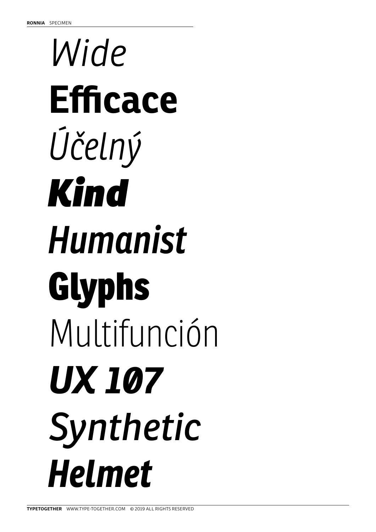# *Wide* **Efficace** *Účelný Kind Humanist* Glyphs Multifunción *UX 107 Synthetic Helmet*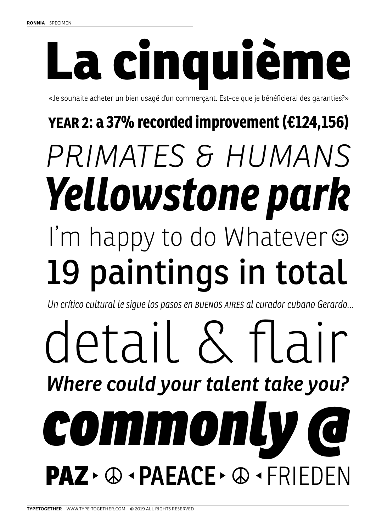# La cinquième

«Je souhaite acheter un bien usagé ďun commerçant. Est-ce que je bénéficierai des garanties?»

# *primates & humans* 19 paintings in total I'm happy to do Whatever *Yellowstone park* **YEAR 2: a 37% recorded improvement (€124,156)**

*Un crítico cultural le sigue los pasos en Buenos Aires al curador cubano Gerardo…*

# detail & flair *commonly @ Where could your talent take you?* PAZ > **@** · PAEACE > @ · FRIEDEN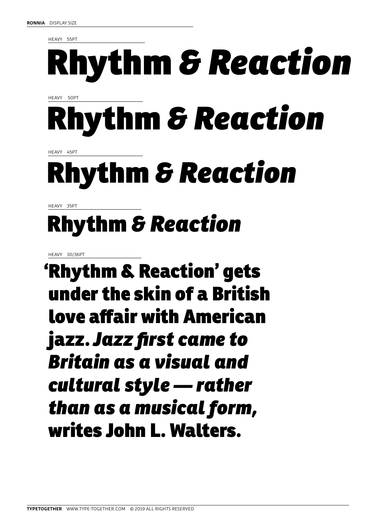HEAVY 55PT

# Rhythm *& Reaction*

HEAVY 50PT

# Rhythm *& Reaction*

HEAVY 45PT

# Rhythm *& Reaction*

HEAVY 35PT

# Rhythm *& Reaction*

HEAVY 30/36PT

'Rhythm & Reaction' gets under the skin of a British love affair with American jazz. *Jazz first came to Britain as a visual and cultural style — rather than as a musical form,* writes John L. Walters.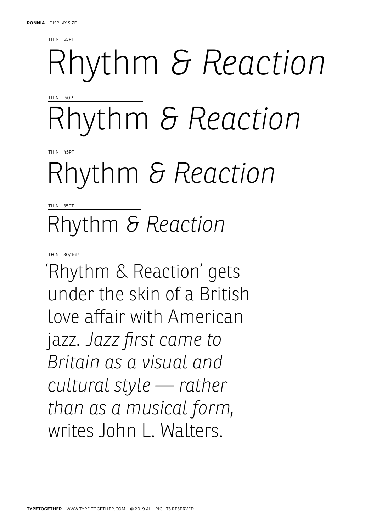THIN 55PT

# Rhythm *& Reaction*

THIN 50PT

Rhythm *& Reaction*

THIN 45PT

# Rhythm *& Reaction*

THIN 35PT

# Rhythm *& Reaction*

THIN 30/36PT

'Rhythm & Reaction' gets under the skin of a British love affair with American jazz. *Jazz first came to Britain as a visual and cultural style — rather than as a musical form,* writes John L. Walters.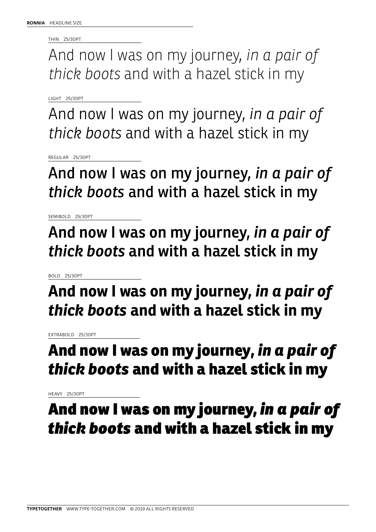THIN 25/30PT

And now I was on my journey, *in a pair of thick boots* and with a hazel stick in my

LIGHT 25/30PT

And now I was on my journey, *in a pair of thick boots* and with a hazel stick in my

REGULAR 25/30PT

And now I was on my journey, *in a pair of thick boots* and with a hazel stick in my

SEMIBOLD 25/30PT

And now I was on my journey, *in a pair of thick boots* and with a hazel stick in my

BOLD 25/30PT

**And now I was on my journey,** *in a pair of thick boots* **and with a hazel stick in my** 

EXTRABOLD 25/30PT

# And now I was on my journey, *in a pair of thick boots* and with a hazel stick in my

HEAVY 25/30PT

And now I was on my journey, *in a pair of thick boots* and with a hazel stick in my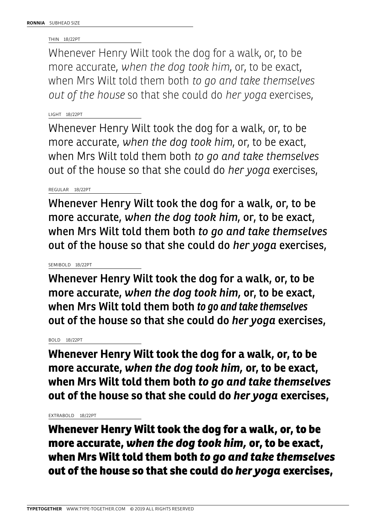THIN 18/22PT

Whenever Henry Wilt took the dog for a walk, or, to be more accurate, *when the dog took him*, or, to be exact, when Mrs Wilt told them both *to go and take themselves out of the house* so that she could do *her yoga* exercises,

# LIGHT 18/22PT

Whenever Henry Wilt took the dog for a walk, or, to be more accurate, *when the dog took him,* or, to be exact, when Mrs Wilt told them both *to go and take themselves*  out of the house so that she could do *her yoga* exercises,

# REGULAR 18/22PT

Whenever Henry Wilt took the dog for a walk, or, to be more accurate, *when the dog took him,* or, to be exact, when Mrs Wilt told them both *to go and take themselves* out of the house so that she could do *her yoga* exercises,

# SEMIBOLD 18/22PT

Whenever Henry Wilt took the dog for a walk, or, to be more accurate, *when the dog took him,* or, to be exact, when Mrs Wilt told them both *to go and take themselves*  out of the house so that she could do *her yoga* exercises,

# BOLD 18/22PT

**Whenever Henry Wilt took the dog for a walk, or, to be more accurate,** *when the dog took him,* **or, to be exact, when Mrs Wilt told them both** *to go and take themselves* **out of the house so that she could do** *her yoga* **exercises,** 

# EXTRABOLD 18/22PT

Whenever Henry Wilt took the dog for a walk, or, to be more accurate, *when the dog took him,* or, to be exact, when Mrs Wilt told them both *to go and take themselves* out of the house so that she could do *her yoga* exercises,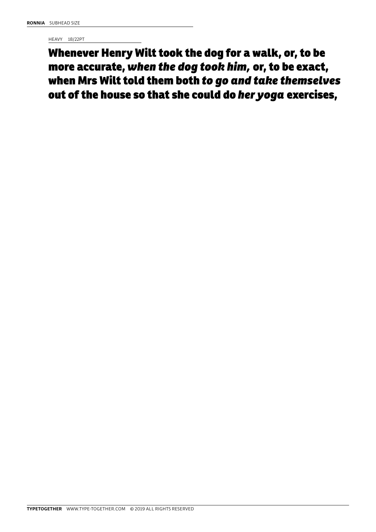HEAVY 18/22PT

Whenever Henry Wilt took the dog for a walk, or, to be more accurate, *when the dog took him,* or, to be exact, when Mrs Wilt told them both *to go and take themselves*  out of the house so that she could do *her yoga* exercises,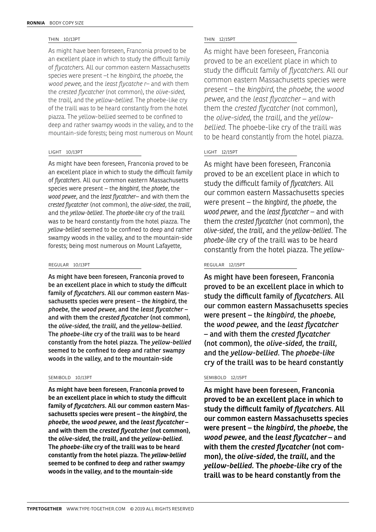# THIN 10/13PT

As might have been foreseen, Franconia proved to be an excellent place in which to study the difficult family of *flycatchers*. All our common eastern Massachusetts species were present –t he *kingbird*, the *phoebe*, the *wood pewee*, and the *least flycatche r*– and with them the *crested flycatcher* (not common), the *olive-sided*, the *traill*, and the *yellow-bellied*. The phoebe-like cry of the traill was to be heard constantly from the hotel piazza. The yellow-bellied seemed to be confined to deep and rather swampy woods in the valley, and to the mountain-side forests; being most numerous on Mount

# LIGHT 10/13PT

As might have been foreseen, Franconia proved to be an excellent place in which to study the difficult family of *flycatchers*. All our common eastern Massachusetts species were present – the *kingbird*, the *phoebe*, the *wood pewee*, and the *least flycatcher*– and with them the *crested flycatcher* (not common), the *olive-sided*, the *traill*, and the *yellow-bellied*. The *phoebe-like* cry of the traill was to be heard constantly from the hotel piazza. The *yellow-bellied* seemed to be confined to deep and rather swampy woods in the valley, and to the mountain-side forests; being most numerous on Mount Lafayette,

# REGULAR 10/13PT

As might have been foreseen, Franconia proved to be an excellent place in which to study the difficult family of *flycatchers*. All our common eastern Massachusetts species were present – the *kingbird*, the *phoebe*, the *wood pewee*, and the *least flycatcher* – and with them the *crested flycatcher* (not common), the *olive-sided*, the *traill*, and the *yellow-bellied*. The *phoebe-like* cry of the traill was to be heard constantly from the hotel piazza. The *yellow-bellied* seemed to be confined to deep and rather swampy woods in the valley, and to the mountain-side

# SEMIBOLD 10/13PT

As might have been foreseen, Franconia proved to be an excellent place in which to study the difficult family of *flycatchers*. All our common eastern Massachusetts species were present – the *kingbird*, the *phoebe*, the *wood pewee*, and the *least flycatcher* – and with them the *crested flycatcher* (not common), the *olive-sided*, the *traill*, and the *yellow-bellied.* The *phoebe-like* cry of the traill was to be heard constantly from the hotel piazza. The *yellow-bellied* seemed to be confined to deep and rather swampy woods in the valley, and to the mountain-side

# THIN 12/15PT

As might have been foreseen, Franconia proved to be an excellent place in which to study the difficult family of *flycatchers*. All our common eastern Massachusetts species were present – the *kingbird*, the *phoebe*, the *wood pewee*, and the *least flycatcher* – and with them the *crested flycatcher* (not common), the *olive-sided*, the *traill*, and the *yellowbellied*. The phoebe-like cry of the traill was to be heard constantly from the hotel piazza.

# LIGHT 12/15PT

As might have been foreseen, Franconia proved to be an excellent place in which to study the difficult family of *flycatchers*. All our common eastern Massachusetts species were present – the *kingbird*, the *phoebe*, the *wood pewee*, and the *least flycatcher* – and with them the *crested flycatcher* (not common), the *olive-sided*, the *traill*, and the *yellow-bellied*. The *phoebe-like* cry of the traill was to be heard constantly from the hotel piazza. The *yellow-*

# REGULAR 12/15PT

As might have been foreseen, Franconia proved to be an excellent place in which to study the difficult family of *flycatchers*. All our common eastern Massachusetts species were present – the *kingbird*, the *phoebe*, the *wood pewee*, and the *least flycatcher*  – and with them the *crested flycatcher*  (not common), the *olive-sided*, the *traill*, and the *yellow-bellied*. The *phoebe-like* cry of the traill was to be heard constantly

# SEMIBOLD 12/15PT

As might have been foreseen, Franconia proved to be an excellent place in which to study the difficult family of *flycatchers*. All our common eastern Massachusetts species were present – the *kingbird*, the *phoebe*, the *wood pewee*, and the *least flycatcher* – and with them the *crested flycatcher* (not common), the *olive-sided*, the *traill*, and the *yellow-bellied.* The *phoebe-like* cry of the traill was to be heard constantly from the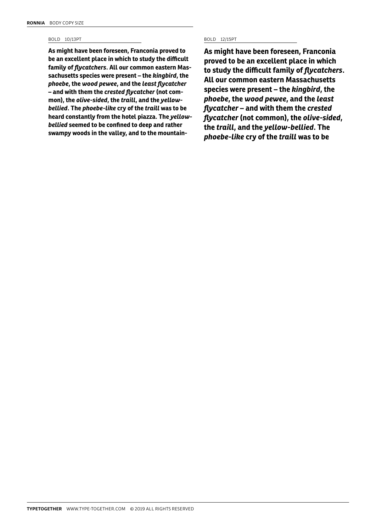# BOLD 10/13PT BOLD 12/15PT

**As might have been foreseen, Franconia proved to be an excellent place in which to study the difficult family of** *flycatchers***. All our common eastern Massachusetts species were present – the** *kingbird***, the**  *phoebe***, the** *wood pewee***, and the** *least flycatcher*  **– and with them the** *crested flycatcher* **(not common), the** *olive-sided***, the** *traill***, and the** *yellowbellied***. The** *phoebe-like* **cry of the** *traill* **was to be heard constantly from the hotel piazza. The** *yellowbellied* **seemed to be confined to deep and rather swampy woods in the valley, and to the mountain-**

**As might have been foreseen, Franconia proved to be an excellent place in which to study the difficult family of** *flycatchers***. All our common eastern Massachusetts species were present – the** *kingbird***, the**  *phoebe***, the** *wood pewee***, and the** *least flycatcher* **– and with them the** *crested flycatcher* **(not common), the** *olive-sided***, the** *traill***, and the** *yellow-bellied***. The**  *phoebe-like* **cry of the** *traill* **was to be**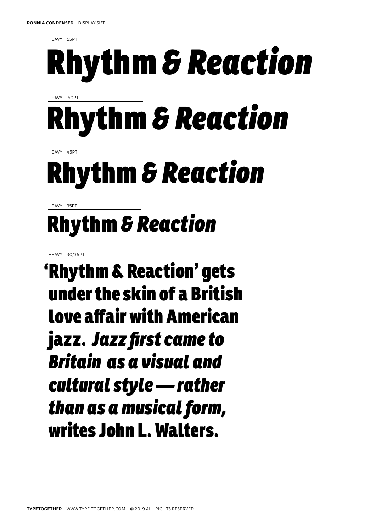HEAVY 55PT

# Rhythm *& Reaction*

HEAVY 50PT

# Rhythm *& Reaction*

HEAVY 45PT

# Rhythm *& Reaction*

HEAVY 35PT

# Rhythm *& Reaction*

HEAVY 30/36PT

'Rhythm & Reaction' gets under the skin of a British love affair with American jazz. *Jazz first came to Britain as a visual and cultural style — rather than as a musical form,* writes John L. Walters.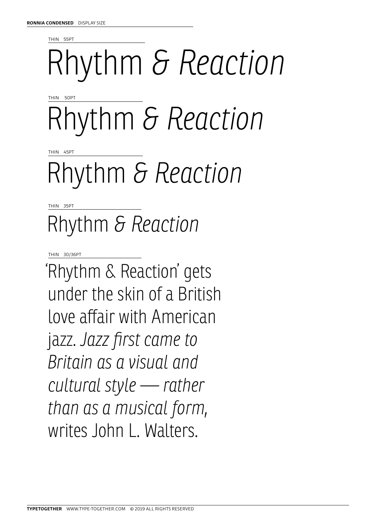THIN 55PT

# Rhythm *& Reaction*

THIN 50PT

Rhythm *& Reaction*

THIN 45PT

# Rhythm *& Reaction*

THIN 35PT

# Rhythm *& Reaction*

THIN 30/36PT

'Rhythm & Reaction' gets under the skin of a British love affair with American jazz. *Jazz first came to Britain as a visual and cultural style — rather than as a musical form,* writes John L. Walters.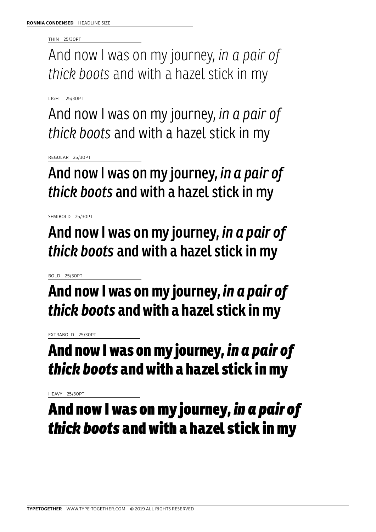THIN 25/30PT

And now I was on my journey, *in a pair of thick boots* and with a hazel stick in my

LIGHT 25/30PT

And now I was on my journey, *in a pair of thick boots* and with a hazel stick in my

REGULAR 25/30PT

And now I was on my journey, *in a pair of thick boots* and with a hazel stick in my

SEMIBOLD 25/30PT

And now I was on my journey, *in a pair of thick boots* and with a hazel stick in my

BOLD 25/30PT

**And now I was on my journey,** *in a pair of thick boots* **and with a hazel stick in my** 

EXTRABOLD 25/30PT

# And now I was on my journey, *in a pair of thick boots* and with a hazel stick in my

HEAVY 25/30PT

And now I was on my journey, *in a pair of thick boots* and with a hazel stick in my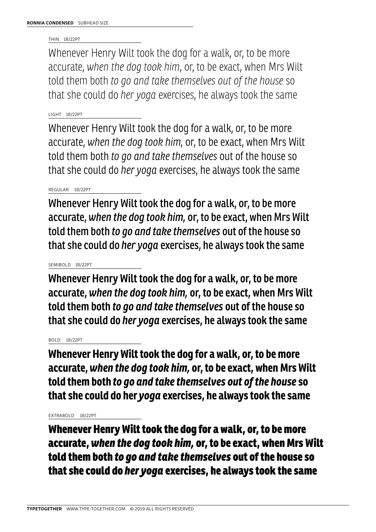# THIN 18/22PT

Whenever Henry Wilt took the dog for a walk, or, to be more accurate, *when the dog took him*, or, to be exact, when Mrs Wilt told them both *to go and take themselves out of the house* so that she could do *her yoga* exercises, he always took the same

# LIGHT 18/22PT

Whenever Henry Wilt took the dog for a walk, or, to be more accurate, *when the dog took him,* or, to be exact, when Mrs Wilt told them both *to go and take themselves* out of the house so that she could do *her yoga* exercises, he always took the same

# REGULAR 18/22PT

Whenever Henry Wilt took the dog for a walk, or, to be more accurate, *when the dog took him,* or, to be exact, when Mrs Wilt told them both *to go and take themselves* out of the house so that she could do *her yoga* exercises, he always took the same

# SEMIBOLD 18/22PT

Whenever Henry Wilt took the dog for a walk, or, to be more accurate, *when the dog took him,* or, to be exact, when Mrs Wilt told them both *to go and take themselves* out of the house so that she could do *her yoga* exercises, he always took the same

# BOLD 18/22PT

**Whenever Henry Wilt took the dog for a walk, or, to be more accurate,***when the dog took him,* **or, to be exact, when Mrs Wilt told them both** *to go and take themselves out of the house* **so that she could do her** *yoga* **exercises, he always took the same** 

# EXTRABOLD 18/22PT

Whenever Henry Wilt took the dog for a walk, or, to be more accurate, *when the dog took him,* or, to be exact, when Mrs Wilt told them both *to go and take themselves* out of the house so that she could do *her yoga* exercises, he always took the same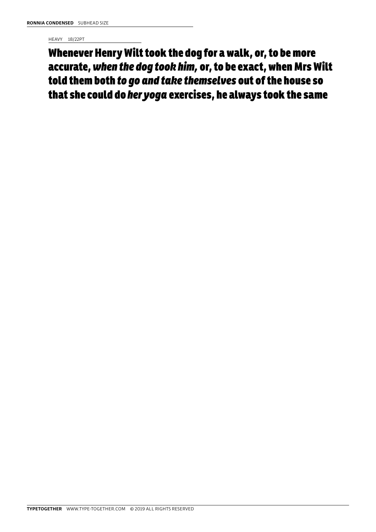HEAVY 18/22PT

Whenever Henry Wilt took the dog for a walk, or, to be more accurate, *when the dog took him,* or, to be exact, when Mrs Wilt told them both *to go and take themselves* out of the house so that she could do *her yoga* exercises, he always took the same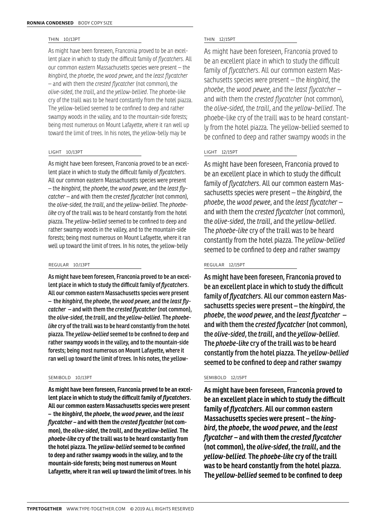# THIN 10/13PT

As might have been foreseen, Franconia proved to be an excellent place in which to study the difficult family of *flycatchers*. All our common eastern Massachusetts species were present – the *kingbird*, the *phoebe*, the *wood pewee*, and the *least flycatcher*  – and with them the *crested flycatcher* (not common), the *olive-sided*, the *traill*, and the *yellow-bellied*. The phoebe-like cry of the traill was to be heard constantly from the hotel piazza. The yellow-bellied seemed to be confined to deep and rather swampy woods in the valley, and to the mountain-side forests; being most numerous on Mount Lafayette, where it ran well up toward the limit of trees. In his notes, the yellow-belly may be

# LIGHT 10/13PT

As might have been foreseen, Franconia proved to be an excellent place in which to study the difficult family of *flycatchers*. All our common eastern Massachusetts species were present – the *kingbird*, the *phoebe*, the *wood pewee*, and the *least flycatcher* – and with them the *crested flycatcher* (not common), the *olive-sided*, the *traill*, and the *yellow-bellied*. The *phoebelike* cry of the traill was to be heard constantly from the hotel piazza. The *yellow-bellied* seemed to be confined to deep and rather swampy woods in the valley, and to the mountain-side forests; being most numerous on Mount Lafayette, where it ran well up toward the limit of trees. In his notes, the yellow-belly

# REGULAR 10/13PT

As might have been foreseen, Franconia proved to be an excellent place in which to study the difficult family of *flycatchers*. All our common eastern Massachusetts species were present – the *kingbird*, the *phoebe*, the *wood pewee*, and the *least flycatcher* – and with them the *crested flycatcher* (not common), the *olive-sided*, the *traill*, and the *yellow-bellied*. The *phoebelike* cry of the traill was to be heard constantly from the hotel piazza. The *yellow-bellied* seemed to be confined to deep and rather swampy woods in the valley, and to the mountain-side forests; being most numerous on Mount Lafayette, where it ran well up toward the limit of trees. In his notes, the yellow-

# SEMIBOLD 10/13PT

As might have been foreseen, Franconia proved to be an excellent place in which to study the difficult family of *flycatchers*. All our common eastern Massachusetts species were present – the *kingbird*, the *phoebe*, the *wood pewee*, and the *least flycatcher* – and with them the *crested flycatcher* (not common), the *olive-sided*, the *traill*, and the *yellow-bellied.* The *phoebe-like* cry of the traill was to be heard constantly from the hotel piazza. The *yellow-bellied* seemed to be confined to deep and rather swampy woods in the valley, and to the mountain-side forests; being most numerous on Mount Lafayette, where it ran well up toward the limit of trees. In his

# THIN 12/15PT

As might have been foreseen, Franconia proved to be an excellent place in which to study the difficult family of *flycatchers*. All our common eastern Massachusetts species were present – the *kingbird*, the *phoebe*, the *wood pewee*, and the *least flycatcher* – and with them the *crested flycatcher* (not common), the *olive-sided*, the *traill*, and the *yellow-bellied*. The phoebe-like cry of the traill was to be heard constantly from the hotel piazza. The yellow-bellied seemed to be confined to deep and rather swampy woods in the

# LIGHT 12/15PT

As might have been foreseen, Franconia proved to be an excellent place in which to study the difficult family of *flycatchers*. All our common eastern Massachusetts species were present – the *kingbird*, the *phoebe*, the *wood pewee*, and the *least flycatcher* – and with them the *crested flycatcher* (not common), the *olive-sided*, the *traill*, and the *yellow-bellied*. The *phoebe-like* cry of the traill was to be heard constantly from the hotel piazza. The *yellow-bellied* seemed to be confined to deep and rather swampy

# REGULAR 12/15PT

As might have been foreseen, Franconia proved to be an excellent place in which to study the difficult family of *flycatchers*. All our common eastern Massachusetts species were present – the *kingbird*, the *phoebe*, the *wood pewee*, and the *least flycatcher* – and with them the *crested flycatcher* (not common), the *olive-sided*, the *traill*, and the *yellow-bellied*. The *phoebe-like* cry of the traill was to be heard constantly from the hotel piazza. The *yellow-bellied* seemed to be confined to deep and rather swampy

# SEMIBOLD 12/15PT

As might have been foreseen, Franconia proved to be an excellent place in which to study the difficult family of *flycatchers*. All our common eastern Massachusetts species were present – the *kingbird*, the *phoebe*, the *wood pewee*, and the *least flycatcher* – and with them the *crested flycatcher* (not common), the *olive-sided*, the *traill*, and the *yellow-bellied.* The *phoebe-like* cry of the traill was to be heard constantly from the hotel piazza. The *yellow-bellied* seemed to be confined to deep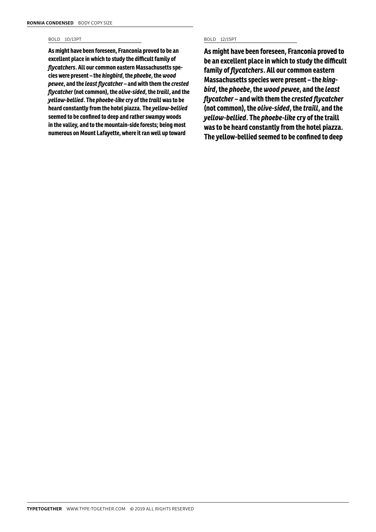# BOLD 10/13PT BOLD 12/15PT

**As might have been foreseen, Franconia proved to be an excellent place in which to study the difficult family of**  *flycatchers***. All our common eastern Massachusetts species were present – the** *kingbird***, the** *phoebe***, the** *wood pewee***, and the** *least flycatcher* **– and with them the** *crested flycatcher* **(not common), the** *olive-sided***, the** *traill***, and the**  *yellow-bellied***. The** *phoebe-like* **cry of the** *traill* **was to be heard constantly from the hotel piazza. The** *yellow-bellied* **seemed to be confined to deep and rather swampy woods in the valley, and to the mountain-side forests; being most numerous on Mount Lafayette, where it ran well up toward** 

**As might have been foreseen, Franconia proved to be an excellent place in which to study the difficult family of** *flycatchers***. All our common eastern Massachusetts species were present – the** *kingbird***, the** *phoebe***, the** *wood pewee***, and the** *least flycatcher* **– and with them the** *crested flycatcher* **(not common), the** *olive-sided***, the** *traill***, and the**  *yellow-bellied***. The** *phoebe-like* **cry of the traill was to be heard constantly from the hotel piazza. The yellow-bellied seemed to be confined to deep**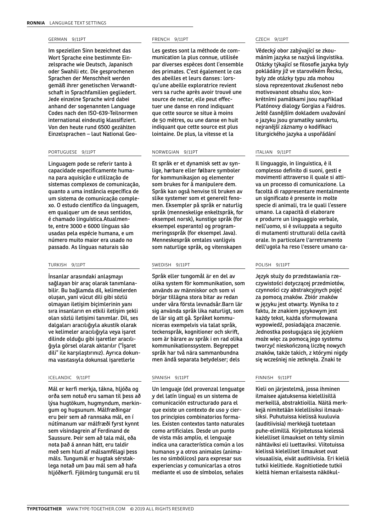# GERMAN 9/11PT

Im speziellen Sinn bezeichnet das Wort Sprache eine bestimmte Einzelsprache wie Deutsch, Japanisch oder Swahili etc. Die gesprochenen Sprachen der Menschheit werden gemäß ihrer genetischen Verwandtschaft in Sprachfamilien gegliedert. Jede einzelne Sprache wird dabei anhand der sogenannten Language Codes nach den ISO-639-Teilnormen international eindeutig klassifiziert. Von den heute rund 6500 gezählten Einzelsprachen – laut National Geo-

## PORTUGUESE 9/11PT

Linguagem pode se referir tanto à capacidade especificamente humana para aquisição e utilização de sistemas complexos de comunicação, quanto a uma instância específica de um sistema de comunicação complexo. O estudo científico da linguagem, em qualquer um de seus sentidos, é chamado linguística.Atualmente, entre 3000 e 6000 línguas são usadas pela espécie humana, e um número muito maior era usado no passado. As línguas naturais são

# TURKISH 9/11PT

İnsanlar arasındaki anlaşmayı sağlayan bir araç olarak tanımlanabilir. Bu bağlamda dil, kelimelerden oluşan, yani vücut dili gibi sözlü olmayan iletişim biçimlerinin yanı sıra insanların en etkili iletişim şekli olan sözlü iletişimi tanımlar. Dil, ses dalgaları aracılığıyla akustik olarak ve kelimeler aracılığıyla veya işaret dilinde olduğu gibi işaretler aracılığıyla görsel olarak aktarılır ("İşaret dili" ile karşılaştırınız). Ayrıca dokunma vasıtasıyla dokunsal işaretlerle

## ICELANDIC 9/11PT

Mál er kerfi merkja, tákna, hljóða og orða sem notuð eru saman til þess að lýsa hugtökum, hugmyndum, merkingum og hugsunum. Málfræðingar eru þeir sem að rannsaka mál, en í nútímanum var málfræði fyrst kynnt sem vísindagrein af Ferdinand de Saussure. Þeir sem að tala mál, eða nota það á annan hátt, eru taldir með sem hluti af málsamfélagi þess máls. Tungumál er hugtak sérstaklega notað um þau mál sem að hafa hljóðkerfi. Fjölmörg tungumál eru til

# FRENCH 9/11PT

Les gestes sont la méthode de communication la plus connue, utilisée par diverses espèces dont l'ensemble des primates. C'est également le cas des abeilles et leurs danses : lorsqu'une abeille exploratrice revient vers sa ruche après avoir trouvé une source de nectar, elle peut effectuer une danse en rond indiquant que cette source se situe à moins de 50 mètres, ou une danse en huit indiquant que cette source est plus lointaine. De plus, la vitesse et la

# NORWEGIAN 9/11PT

Et språk er et dynamisk sett av synlige, hørbare eller følbare symboler for kommunikasjon og elementer som brukes for å manipulere dem. Språk kan også henvise til bruken av slike systemer som et generelt fenomen. Eksempler på språk er naturlig språk (menneskelige enkeltspråk, for eksempel norsk), kunstige språk (for eksempel esperanto) og programmeringsspråk (for eksempel Java). Menneskespråk omtales vanligvis som naturlige språk, og vitenskapen

# SWEDISH 9/11PT

Språk eller tungomål är en del av olika system för kommunikation, som används av människor och som vi börjar tillägna stora bitar av redan under våra första levnadsår.Barn lär sig använda språk lika naturligt, som de lär sig att gå. Språket kommuniceras exempelvis via talat språk, teckenspråk, kognitioner och skrift, som är bärare av språk i en rad olika kommunikationssystem. Begreppet språk har två nära sammanbundna men ändå separata betydelser; dels

## SPANISH 9/11PT

Un lenguaje (del provenzal lenguatge y del latín lingua) es un sistema de comunicación estructurado para el que existe un contexto de uso y ciertos principios combinatorios formales. Existen contextos tanto naturales como artificiales. Desde un punto de vista más amplio, el lenguaje indica una característica común a los humanos y a otros animales (animales no simbólicos) para expresar sus experiencias y comunicarlas a otros mediante el uso de símbolos, señales

## CZECH 9/11PT

Vědecký obor zabývající se zkoumáním jazyka se nazývá lingvistika. Otázky týkající se filosofie jazyka byly pokládány již ve starověkém Řecku, byly zde otázky typu zda mohou slova reprezentovat zkušenost nebo motivovanost obsahu slov, konkrétními památkami jsou například Platónovy dialogy Gorgias a Faidros. Ještě časnějším dokladem uvažování o jazyku jsou gramatiky sanskrtu, nejranější záznamy o kodifikaci liturgického jazyka a uspořádání

## ITALIAN 9/11PT

Il linguaggio, in linguistica, è il complesso definito di suoni, gesti e movimenti attraverso il quale si attiva un processo di comunicazione. La facoltà di rappresentare mentalmente un significato è presente in molte specie di animali, tra le quali l'essere umano. La capacità di elaborare e produrre un linguaggio verbale, nell'uomo, si è sviluppata a seguito di mutamenti strutturali della cavità orale. In particolare l'arretramento dell'ugola ha reso l'essere umano ca-

# POLISH 9/11PT

Język służy do przedstawiania rzeczywistości dotyczącej przedmiotów, czynności czy abstrakcyjnych pojęć za pomocą znaków. Zbiór znaków w języku jest otwarty. Wynika to z faktu, że znakiem językowym jest każdy tekst, każda sformułowana wypowiedź, posiadająca znaczenie. Jednostka posługująca się językiem może więc za pomocą jego systemu tworzyć nieskończoną liczbę nowych znaków, także takich, z którymi nigdy się wcześniej nie zetknęła. Znaki te

# FINNISH 9/11PT

Kieli on järjestelmä, jossa ihminen ilmaisee ajatuksensa kielellisillä merkeillä, abstraktioilla. Näitä merkkejä nimitetään kielellisiksi ilmauksiksi. Puhutuissa kielissä kuuluvia (auditiivisia) merkkejä tuotetaan puhe-elimillä. Kirjoitetussa kielessä kielelliset ilmaukset on tehty silmin nähtäviksi eli luettaviksi. Viitotuissa kielissä kielelliset ilmaukset ovat visuaalisia, eivät auditiivisia. Eri kieliä tutkii kielitiede. Kognitiotiede tutkii kieltä hieman erilaisesta näkökul-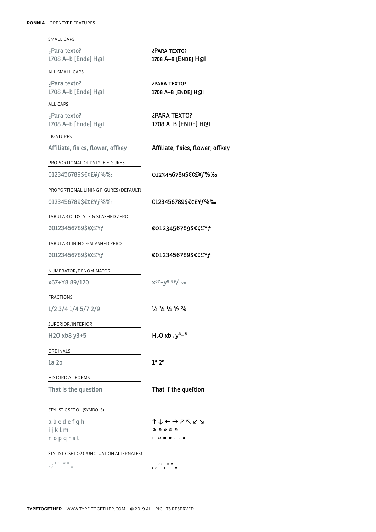| SMALL CAPS                                |                                                                       |
|-------------------------------------------|-----------------------------------------------------------------------|
| ¿Para texto?<br>1708 A-b [Ende] H@I       | ¿PARA TEXTO?<br>1708 A-B [ENDE] H@I                                   |
| ALL SMALL CAPS                            |                                                                       |
| ¿Para texto?<br>1708 A-b [Ende] H@I       | ¿PARA TEXTO?<br>1708 A-B [ENDE] H@I                                   |
| <b>ALL CAPS</b>                           |                                                                       |
| ¿Para texto?<br>1708 A-b [Ende] H@I       | ¿PARA TEXTO?<br>1708 A-B [ENDE] H@I                                   |
| LIGATURES                                 |                                                                       |
| Affiliate, fisics, flower, offkey         | Affiliate, fisics, flower, offkey                                     |
| PROPORTIONAL OLDSTYLE FIGURES             |                                                                       |
| 0123456789\$€¢£¥f%‰                       | 0123456789\$€¢£¥ <i>f</i> %‰                                          |
| PROPORTIONAL LINING FIGURES (DEFAULT)     |                                                                       |
| 0123456789\$€¢£¥f%‰                       | 0123456789\$€¢£¥f%‰                                                   |
| TABULAR OLDSTYLE & SLASHED ZERO           |                                                                       |
| 00123456789\$€¢£¥f                        | 00123456789\$€¢£¥ <i>f</i>                                            |
| TABULAR LINING & SLASHED ZERO             |                                                                       |
| 00123456789\$€¢£¥f                        | 00123456789\$€¢£¥f                                                    |
| NUMERATOR/DENOMINATOR                     |                                                                       |
| x67+Y8 89/120                             | $X^{67}+V^{889}/_{120}$                                               |
| FRACTIONS                                 |                                                                       |
| 1/2 3/4 1/4 5/7 2/9                       | $\frac{1}{2}$ $\frac{3}{4}$ $\frac{1}{4}$ $\frac{5}{7}$ $\frac{2}{9}$ |
| SUPERIOR/INFERIOR                         |                                                                       |
| H2O xb8 y3+5                              | $H_2O$ xb <sub>8</sub> $y^3 +^5$                                      |
| ORDINALS                                  |                                                                       |
| la 20                                     | 1 <sup>a</sup> 2 <sup>o</sup>                                         |
| <b>HISTORICAL FORMS</b>                   |                                                                       |
| That is the question                      | That if the queftion                                                  |
| STYLISTIC SET O1 (SYMBOLS)                |                                                                       |
| a b c d e f g h                           | ↑↓←→↗↖↙↘                                                              |
| ijklm                                     | $\circledast \circledast \circledast \circledast$                     |
| nopqrst                                   | □○■●←▸                                                                |
| STYLISTIC SET O2 (PUNCTUATION ALTERNATES) |                                                                       |
| $\mathbf{r}$<br>$^{\prime}$               |                                                                       |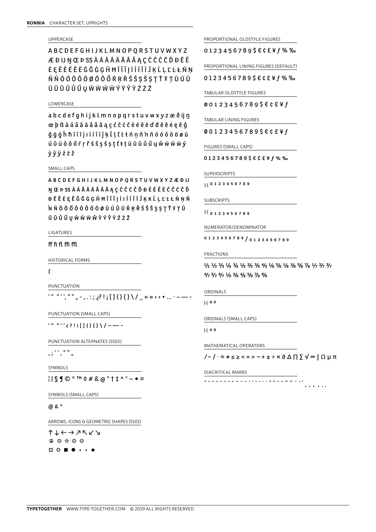# UPPERCASE

ABCDEFGHIJKLMNOPQRSTUVWXYZ **ÆÐIJŊŒÞSSÀÁÂÂÄÅĀĂĄÇĆĈĊČĎĐĒĔ ĖĘĔĖĖĖËĜĞĠĢĤĦĨĪĬJİÌÍÎÏĴĶĹĻĽĿŁŃŅ** ŇÑÒÓÔÔÖØŌŎŐŔŖŘŚŜŞŠȘŢŤŦŢÙÚÛ ÜŨŪŬŮŰŲŴŴŴŴÝŶŶŸŹŻŽ

## LOWERCASE

abcdefqhijklmnopqrstuvwxyzæðijn œ þ ß à á â ã ä å ā ă a ç ć ĉ ċ č è é ê ë ď đ ē ě ė ę ě ĝ ğġģĥħĩīĭjıìíîïĵķĺḷĽŀłńṇň'nñòóôōöøù ú û ü ō ŏ ő ŕ ŗ ř ś ŝ ṣ š ṣ ţ t ŧ ṭ ū ū ŭ ů ű y ŵ ẁ ẃ ẅ ý *v*ûvźżž

## SMALL CAPS

**ABCDEFGHIJKLMNOPORSTUVWXYZÆÐIJ** NŒÞSSÀÁÂÂÄÄÅĀĂĄÇĆĈĊČĎĐÈÉÊËĆĈĊČĎ ĐĒĔĖĘĚĜĞĠGĤĦĨĨĬJİIÌÍÎÏĴĶKĹĻĽĿŁŃŅŇ NNŌŎŐÒÓÔŌÖØÙÚÛÜŔRŘŚŜŠŞSTŤŦTŨ ŪŬŮŰŲŴŴŴŴŶÝŶŸŹŻŽ

## LIGATURES

# ff fi fl ffi ffl

**HISTORICAL FORMS** 

# $\mathsf{r}$

PUNCTUATION

' " "'', " " " - , . : ; ¿? ! ; [ ] ( ) { } \ / \_ « » < > • ... · - -

PUNCTUATION (SMALL CAPS)

 $----(1/3)$  () [] i ! ? 3 ' ' " " '

PUNCTUATION ALTERNATES (SSO2)

 $\begin{array}{c} \cdot \quad \cdots \quad \cdots \quad \cdots \\ \cdot \quad \cdot \quad \cdots \quad \cdots \quad \cdots \end{array}$ 

SYMBOLS

 $||SJ0^{\circ}TM0#8a^*11^{\circ}\circ a$ 

SYMBOLS (SMALL CAPS)

# $^*$  &  $\alpha$

ARROWS, ICONS & GEOMETRIC SHAPES (SSO1)

 $\uparrow \downarrow \leftarrow \rightarrow \nearrow \nwarrow \swarrow \searrow$  $\begin{array}{ccccccccccccccccc} \textcircled{1} & \textcircled{2} & \textcircled{3} & \textcircled{4} & \textcircled{5} & \textcircled{6} & \textcircled{7} & \textcircled{8} & \textcircled{9} & \textcircled{9} & \textcircled{1} & \textcircled{1} & \textcircled{1} & \textcircled{1} & \textcircled{1} & \textcircled{1} & \textcircled{1} & \textcircled{1} & \textcircled{1} & \textcircled{1} & \textcircled{1} & \textcircled{1} & \textcircled{1} & \textcircled{1} & \textcircled{1} & \textcircled{1} & \$  $\Box$ circ

PROPORTIONAL OLDSTYLE FIGURES

 $0123456789$ \$€¢£¥ $f$ %‰

PROPORTIONAL LINING FIGURES (DEFAULT)

 $01234567895ECE4f%$ %

TABULAR OLDSTYLE FIGURES

 $00123456789$ \$€¢£¥f

TABULAR LINING FIGURES

00123456789\$€¢£¥f

FIGURES (SMALL CAPS)

 $01234567895ECE4f%$ 

SUPERSCRIPTS

 $|| 0123456789$ 

## SUBSCRIPTS

 $H_{0123456789}$ 

NUMERATOR/DENOMINATOR

0123456789/0123456789

**FRACTIONS** 

1/2 1/3 2/3 1/4 3/4 1/5 2/5 3/5 4/5 1/6 5/6 1/8 3/8 5/8 7/8 1/7 2/7 3/7  $4/7$  5/7 6/7 1/9 2/9 4/9 5/9 7/9 8/9

ORDINALS

 $\Box$  a o

ORDINALS (SMALL CAPS)

 $H$  A O

MATHEMATICAL OPERATORS

 $\sqrt{-1}$   $\approx$   $\neq$   $\leq$   $\geq$   $\lt$  =  $\gt$   $\neg$  +  $\pm$   $\div$   $\times$   $\partial$   $\triangle$   $\Box$   $\geq$   $\sqrt{\infty}$   $\cap$   $\Omega$   $\upmu$   $\uppi$ 

 $\overline{a}$ 

<u>vv = = = v v n n z z z z + + 0 0 = = *n n* i <sub>1</sub> i</u>

DIACRITICAL MARKS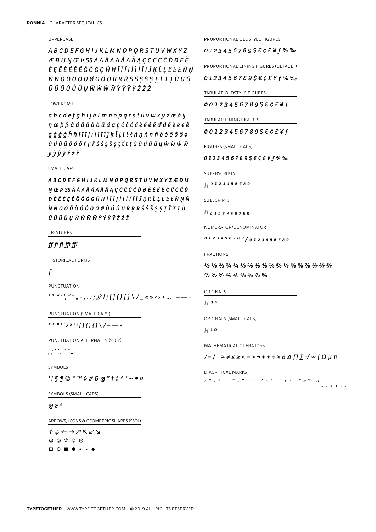# UPPERCASE

ABCDEFGHIJKLMNOPQRSTUVWXYZ ÆÐIJŊŒÞSSÀÁÂÂÄÅĀĂĄÇĆĈĊČĎĐĒĔ ĖĘĔÈÉÊËĜĞĠĢĤĦĨĪĬJİÌÍÎÏĴĶĹĻĽĿŁŃŅ ŇÑÒÓÔÕÖØŌŎŐŔŖŘŚŜŞŠȘŢŤŦŢÙÚÛ ÜŨŨŨŮŰŰIJŴŴŴŴÝŶŶŸŹŻŽ

## LOWERCASE

abcdefghijklmnopgrstuvwxyzæðij n œ þ ß à á â ã ä å å ā ă q ç ć ĉ ċ č è é ê ë d' đ ē ě ė ę ě  $\hat{q}$ ğ  $\dot{q}$   $\dot{q}$   $\hat{h}$   $\hbar$   $\tilde{i}$   $\tilde{i}$   $\tilde{j}$   $\tilde{i}$   $\tilde{i}$   $\tilde{j}$   $\tilde{k}$   $\tilde{l}$   $\tilde{l}$   $\tilde{l}$   $\tilde{l}$   $\tilde{l}$   $\tilde{n}$   $\tilde{n}$   $\tilde{n}$   $\tilde{n}$   $\tilde{o}$   $\tilde{o}$   $\tilde{o}$   $\tilde{o}$   $\tilde{o}$   $\tilde{o}$   $\tilde{o}$ *ý v v v ź ż ž* 

## SMALL CAPS

**ABCDEFGHIJKLMNOPQRSTUVWXYZÆÐIJ** NŒÞSSÀÁÂÃÄÄÅĀĂĄÇĆĈĊČĎĐÈÉÊËĆĈĊČĎ ĐĒĔĖĘĚĜĞĠGĤĦĨĪĬJİIÌÍÎÏĴKKĹĻĽĿŁŃŅŇ WNOOŐÔÔÔÔŌÖØÙÚÛÜŔRŘŚŜŠŞŞTŤŦTŨ ŪŬŮŰŲŴŴŴŴŶÝŶŸŹŻŽ

# LIGATURES

# ff fi fl ffi ffl

**HISTORICAL FORMS** 

# $\int$

PUNCTUATION

' " "'', " " " - , . : ; ¿? ! ; [ ] ( ) { } \ / \_ « » < › • ... · - ·

PUNCTUATION (SMALL CAPS)

 $1 + 2 + 1$ 

PUNCTUATION ALTERNATES (SSO2)

 $\begin{array}{cc} \cdot & \cdot & \cdot & \cdot & \cdot \\ \cdot & \cdot & \cdot & \cdot & \cdot \\ \cdot & \cdot & \cdot & \cdot & \cdot \end{array}$ 

**SYMBOLS** 

 $11SJO^{\circ m}$   $0$  #  $2G*1I^{\circ}$   $\sim$   $\circ$   $\alpha$ 

SYMBOLS (SMALL CAPS)

# $G \delta^*$

ARROWS, ICONS & GEOMETRIC SHAPES (SSO1)

 $T+ \leftarrow \rightarrow Z \vee Y$ 00\*00  $\Box$ circ

PROPORTIONAL OLDSTYLE FIGURES

 $0123456789$ \$€¢£¥f%‰

PROPORTIONAL LINING FIGURES (DEFAULT)

 $0123456789566E4f%$ 

TABULAR OLDSTYLE FIGURES

 $001234567895€C£¥f$ 

TABULAR LINING FIGURES

00123456789\$€¢£¥f

FIGURES (SMALL CAPS)

 $01234567895€CE¥f%%$ 

SUPERSCRIPTS

 $H$  0 1 2 3 4 5 6 7 8 9

## SUBSCRIPTS

 $H_{0123456789}$ 

NUMERATOR/DENOMINATOR

0 1 2 3 4 5 6 7 8 9 / 0 1 2 3 4 5 6 7 8 9

**FRACTIONS** 

1/2 1/3 2/3 1/4 3/4 1/5 2/5 3/5 4/5 1/6 5/6 1/8 3/8 5/8 7/8 1/7 2/7 3/7  $4/7$  5/7 6/7 1/9  $2/9$  4/9 5/9 7/9 8/9

# ORDINALS

 $H$  a o

ORDINALS (SMALL CAPS)

 $H$  A O

MATHEMATICAL OPERATORS

 $\sqrt{-1}$   $\approx$   $\neq$   $\leq$   $\geq$   $\lt$  =  $\gt$   $\neg$  +  $\pm$   $\div$   $\times$   $\partial$   $\triangle$   $\prod$   $\sum$   $\sqrt{\infty}$   $\int$   $\Omega$   $\mu$   $\pi$ 

 $\sim$   $\epsilon$   $\epsilon$ 

グレアニュニレア ルクシイズク いちゅう デアルグルル

DIACRITICAL MARKS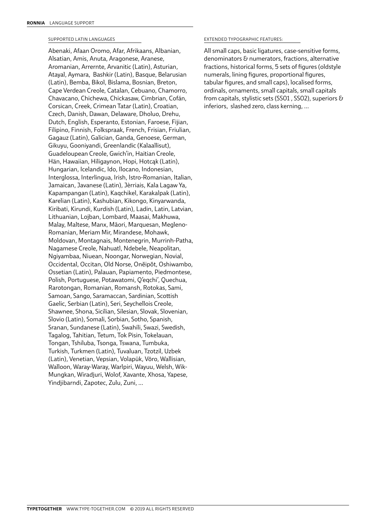# SUPPORTED LATIN LANGUAGES

Abenaki, Afaan Oromo, Afar, Afrikaans, Albanian, Alsatian, Amis, Anuta, Aragonese, Aranese, Aromanian, Arrernte, Arvanitic (Latin), Asturian, Atayal, Aymara, Bashkir (Latin), Basque, Belarusian (Latin), Bemba, Bikol, Bislama, Bosnian, Breton, Cape Verdean Creole, Catalan, Cebuano, Chamorro, Chavacano, Chichewa, Chickasaw, Cimbrian, Cofán, Corsican, Creek, Crimean Tatar (Latin), Croatian, Czech, Danish, Dawan, Delaware, Dholuo, Drehu, Dutch, English, Esperanto, Estonian, Faroese, Fijian, Filipino, Finnish, Folkspraak, French, Frisian, Friulian, Gagauz (Latin), Galician, Ganda, Genoese, German, Gikuyu, Gooniyandi, Greenlandic (Kalaallisut), Guadeloupean Creole, Gwich'in, Haitian Creole, Hän, Hawaiian, Hiligaynon, Hopi, Hotcąk (Latin), Hungarian, Icelandic, Ido, Ilocano, Indonesian, Interglossa, Interlingua, Irish, Istro-Romanian, Italian, Jamaican, Javanese (Latin), Jèrriais, Kala Lagaw Ya, Kapampangan (Latin), Kaqchikel, Karakalpak (Latin), Karelian (Latin), Kashubian, Kikongo, Kinyarwanda, Kiribati, Kirundi, Kurdish (Latin), Ladin, Latin, Latvian, Lithuanian, Lojban, Lombard, Maasai, Makhuwa, Malay, Maltese, Manx, Māori, Marquesan, Megleno-Romanian, Meriam Mir, Mirandese, Mohawk, Moldovan, Montagnais, Montenegrin, Murrinh-Patha, Nagamese Creole, Nahuatl, Ndebele, Neapolitan, Ngiyambaa, Niuean, Noongar, Norwegian, Novial, Occidental, Occitan, Old Norse, Onĕipŏt, Oshiwambo, Ossetian (Latin), Palauan, Papiamento, Piedmontese, Polish, Portuguese, Potawatomi, Q'eqchi', Quechua, Rarotongan, Romanian, Romansh, Rotokas, Sami, Samoan, Sango, Saramaccan, Sardinian, Scottish Gaelic, Serbian (Latin), Seri, Seychellois Creole, Shawnee, Shona, Sicilian, Silesian, Slovak, Slovenian, Slovio (Latin), Somali, Sorbian, Sotho, Spanish, Sranan, Sundanese (Latin), Swahili, Swazi, Swedish, Tagalog, Tahitian, Tetum, Tok Pisin, Tokelauan, Tongan, Tshiluba, Tsonga, Tswana, Tumbuka, Turkish, Turkmen (Latin), Tuvaluan, Tzotzil, Uzbek (Latin), Venetian, Vepsian, Volapük, Võro, Wallisian, Walloon, Waray-Waray, Warlpiri, Wayuu, Welsh, Wik-Mungkan, Wiradjuri, Wolof, Xavante, Xhosa, Yapese, Yindjibarndi, Zapotec, Zulu, Zuni, …

# EXTENDED TYPOGRAPHIC FEATURES:

All small caps, basic ligatures, case-sensitive forms, denominators & numerators, fractions, alternative fractions, historical forms, 5 sets of figures (oldstyle numerals, lining figures, proportional figures, tabular figures, and small caps), localised forms, ordinals, ornaments, small capitals, small capitals from capitals, stylistic sets (SS01 , SS02), superiors & inferiors, slashed zero, class kerning, …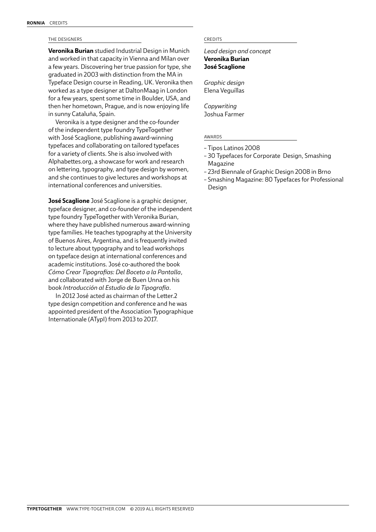# THE DESIGNERS CREDITS

**Veronika Burian** studied Industrial Design in Munich and worked in that capacity in Vienna and Milan over a few years. Discovering her true passion for type, she graduated in 2003 with distinction from the MA in Typeface Design course in Reading, UK. Veronika then worked as a type designer at DaltonMaag in London for a few years, spent some time in Boulder, USA, and then her hometown, Prague, and is now enjoying life in sunny Cataluña, Spain.

Veronika is a type designer and the co-founder of the independent type foundry TypeTogether with José Scaglione, publishing award-winning typefaces and collaborating on tailored typefaces for a variety of clients. She is also involved with Alphabettes.org, a showcase for work and research on lettering, typography, and type design by women, and she continues to give lectures and workshops at international conferences and universities.

**José Scaglione** José Scaglione is a graphic designer, typeface designer, and co-founder of the independent type foundry TypeTogether with Veronika Burian, where they have published numerous award-winning type families. He teaches typography at the University of Buenos Aires, Argentina, and is frequently invited to lecture about typography and to lead workshops on typeface design at international conferences and academic institutions. José co-authored the book *Cómo Crear Tipografías: Del Boceto a la Pantalla*, and collaborated with Jorge de Buen Unna on his book *Introducción al Estudio de la Tipografía*.

In 2012 José acted as chairman of the Letter.2 type design competition and conference and he was appointed president of the Association Typographique Internationale (ATypI) from 2013 to 2017.

*Lead design and concept* **Veronika Burian José Scaglione**

*Graphic design* Elena Veguillas

*Copywriting* Joshua Farmer

# AWARDS

- Tipos Latinos 2008
- 30 Typefaces for Corporate Design, Smashing Magazine
- 23rd Biennale of Graphic Design 2008 in Brno
- Smashing Magazine: 80 Typefaces for Professional Design